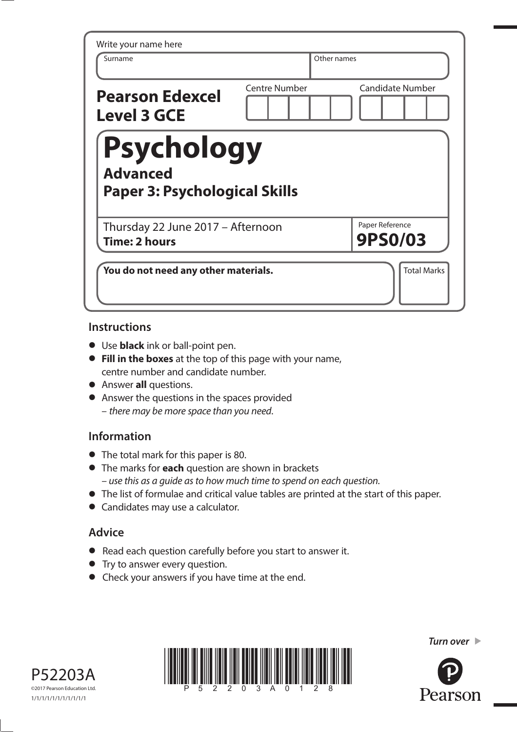| Centre Number                                             | <b>Candidate Number</b>              |
|-----------------------------------------------------------|--------------------------------------|
|                                                           |                                      |
| <b>Psychology</b><br><b>Paper 3: Psychological Skills</b> |                                      |
| Thursday 22 June 2017 - Afternoon                         | Paper Reference<br><b>9PS0/03</b>    |
|                                                           | You do not need any other materials. |

## **Instructions**

- **•** Use **black** ink or ball-point pen.
- **• Fill in the boxes** at the top of this page with your name, centre number and candidate number.
- **•** Answer **all** questions.
- **•** Answer the questions in the spaces provided – there may be more space than you need.

# **Information**

- **•** The total mark for this paper is 80.
- **•** The marks for **each** question are shown in brackets – use this as a guide as to how much time to spend on each question.
- **•** The list of formulae and critical value tables are printed at the start of this paper.
- **•** Candidates may use a calculator.

# **Advice**

- **•** Read each question carefully before you start to answer it.
- Read each question carefully<br>• Try to answer every question.
- Try to answer every question.<br>• Check your answers if you have time at the end.





**Turn over Turn over** 

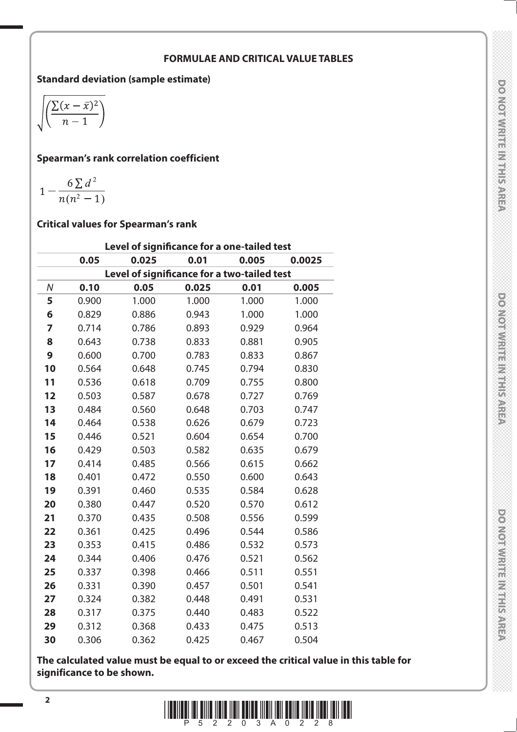#### **FORMULAE AND CRITICAL VALUE TABLES**

# **Standard deviation (sample estimate)**

$$
\sqrt{\left(\frac{\sum (x-\bar{x})^2}{n-1}\right)}
$$

**Spearman's rank correlation coefficient**

$$
1 - \frac{6\sum d^2}{n(n^2 - 1)}
$$

# **Critical values for Spearman's rank**

|    | Level of significance for a one-tailed test |       |                                             |       |        |  |  |  |
|----|---------------------------------------------|-------|---------------------------------------------|-------|--------|--|--|--|
|    | 0.05                                        | 0.025 | 0.01                                        | 0.005 | 0.0025 |  |  |  |
|    |                                             |       | Level of significance for a two-tailed test |       |        |  |  |  |
| N  | 0.10                                        | 0.05  | 0.025                                       | 0.01  | 0.005  |  |  |  |
| 5  | 0.900                                       | 1.000 | 1.000                                       | 1.000 | 1.000  |  |  |  |
| 6  | 0.829                                       | 0.886 | 0.943                                       | 1.000 | 1.000  |  |  |  |
| 7  | 0.714                                       | 0.786 | 0.893                                       | 0.929 | 0.964  |  |  |  |
| 8  | 0.643                                       | 0.738 | 0.833                                       | 0.881 | 0.905  |  |  |  |
| 9  | 0.600                                       | 0.700 | 0.783                                       | 0.833 | 0.867  |  |  |  |
| 10 | 0.564                                       | 0.648 | 0.745                                       | 0.794 | 0.830  |  |  |  |
| 11 | 0.536                                       | 0.618 | 0.709                                       | 0.755 | 0.800  |  |  |  |
| 12 | 0.503                                       | 0.587 | 0.678                                       | 0.727 | 0.769  |  |  |  |
| 13 | 0.484                                       | 0.560 | 0.648                                       | 0.703 | 0.747  |  |  |  |
| 14 | 0.464                                       | 0.538 | 0.626                                       | 0.679 | 0.723  |  |  |  |
| 15 | 0.446                                       | 0.521 | 0.604                                       | 0.654 | 0.700  |  |  |  |
| 16 | 0.429                                       | 0.503 | 0.582                                       | 0.635 | 0.679  |  |  |  |
| 17 | 0.414                                       | 0.485 | 0.566                                       | 0.615 | 0.662  |  |  |  |
| 18 | 0.401                                       | 0.472 | 0.550                                       | 0.600 | 0.643  |  |  |  |
| 19 | 0.391                                       | 0.460 | 0.535                                       | 0.584 | 0.628  |  |  |  |
| 20 | 0.380                                       | 0.447 | 0.520                                       | 0.570 | 0.612  |  |  |  |
| 21 | 0.370                                       | 0.435 | 0.508                                       | 0.556 | 0.599  |  |  |  |
| 22 | 0.361                                       | 0.425 | 0.496                                       | 0.544 | 0.586  |  |  |  |
| 23 | 0.353                                       | 0.415 | 0.486                                       | 0.532 | 0.573  |  |  |  |
| 24 | 0.344                                       | 0.406 | 0.476                                       | 0.521 | 0.562  |  |  |  |
| 25 | 0.337                                       | 0.398 | 0.466                                       | 0.511 | 0.551  |  |  |  |
| 26 | 0.331                                       | 0.390 | 0.457                                       | 0.501 | 0.541  |  |  |  |
| 27 | 0.324                                       | 0.382 | 0.448                                       | 0.491 | 0.531  |  |  |  |
| 28 | 0.317                                       | 0.375 | 0.440                                       | 0.483 | 0.522  |  |  |  |
| 29 | 0.312                                       | 0.368 | 0.433                                       | 0.475 | 0.513  |  |  |  |
| 30 | 0.306                                       | 0.362 | 0.425                                       | 0.467 | 0.504  |  |  |  |

**The calculated value must be equal to or exceed the critical value in this table for significance to be shown.**



**DO NOTWRITE INTHISAREA**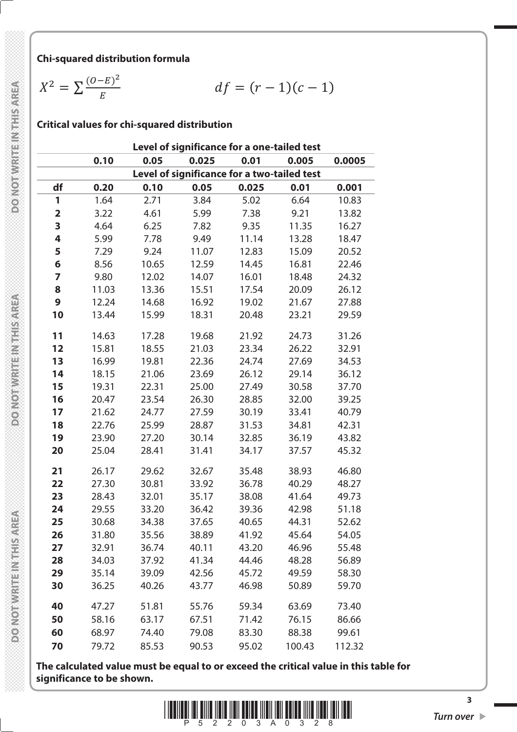#### **Chi-squared distribution formula**

$$
X^2 = \sum \frac{(O-E)^2}{E} \qquad df = (r-1)(c-1)
$$

#### **Critical values for chi-squared distribution**

|                         | Level of significance for a one-tailed test |       |                                             |       |        |        |  |  |  |
|-------------------------|---------------------------------------------|-------|---------------------------------------------|-------|--------|--------|--|--|--|
|                         | 0.10                                        | 0.05  | 0.025                                       | 0.01  | 0.005  | 0.0005 |  |  |  |
|                         |                                             |       | Level of significance for a two-tailed test |       |        |        |  |  |  |
| df                      | 0.20                                        | 0.10  | 0.05                                        | 0.025 | 0.01   | 0.001  |  |  |  |
| 1                       | 1.64                                        | 2.71  | 3.84                                        | 5.02  | 6.64   | 10.83  |  |  |  |
| $\overline{\mathbf{2}}$ | 3.22                                        | 4.61  | 5.99                                        | 7.38  | 9.21   | 13.82  |  |  |  |
| 3                       | 4.64                                        | 6.25  | 7.82                                        | 9.35  | 11.35  | 16.27  |  |  |  |
| 4                       | 5.99                                        | 7.78  | 9.49                                        | 11.14 | 13.28  | 18.47  |  |  |  |
| 5                       | 7.29                                        | 9.24  | 11.07                                       | 12.83 | 15.09  | 20.52  |  |  |  |
| 6                       | 8.56                                        | 10.65 | 12.59                                       | 14.45 | 16.81  | 22.46  |  |  |  |
| 7                       | 9.80                                        | 12.02 | 14.07                                       | 16.01 | 18.48  | 24.32  |  |  |  |
| 8                       | 11.03                                       | 13.36 | 15.51                                       | 17.54 | 20.09  | 26.12  |  |  |  |
| 9                       | 12.24                                       | 14.68 | 16.92                                       | 19.02 | 21.67  | 27.88  |  |  |  |
| 10                      | 13.44                                       | 15.99 | 18.31                                       | 20.48 | 23.21  | 29.59  |  |  |  |
| 11                      | 14.63                                       | 17.28 | 19.68                                       | 21.92 | 24.73  | 31.26  |  |  |  |
| 12                      | 15.81                                       | 18.55 | 21.03                                       | 23.34 | 26.22  | 32.91  |  |  |  |
| 13                      | 16.99                                       | 19.81 | 22.36                                       | 24.74 | 27.69  | 34.53  |  |  |  |
| 14                      | 18.15                                       | 21.06 | 23.69                                       | 26.12 | 29.14  | 36.12  |  |  |  |
| 15                      | 19.31                                       | 22.31 | 25.00                                       | 27.49 | 30.58  | 37.70  |  |  |  |
| 16                      | 20.47                                       | 23.54 | 26.30                                       | 28.85 | 32.00  | 39.25  |  |  |  |
| 17                      | 21.62                                       | 24.77 | 27.59                                       | 30.19 | 33.41  | 40.79  |  |  |  |
| 18                      | 22.76                                       | 25.99 | 28.87                                       | 31.53 | 34.81  | 42.31  |  |  |  |
| 19                      | 23.90                                       | 27.20 | 30.14                                       | 32.85 | 36.19  | 43.82  |  |  |  |
| 20                      | 25.04                                       | 28.41 | 31.41                                       | 34.17 | 37.57  | 45.32  |  |  |  |
| 21                      | 26.17                                       | 29.62 | 32.67                                       | 35.48 | 38.93  | 46.80  |  |  |  |
| 22                      | 27.30                                       | 30.81 | 33.92                                       | 36.78 | 40.29  | 48.27  |  |  |  |
| 23                      | 28.43                                       | 32.01 | 35.17                                       | 38.08 | 41.64  | 49.73  |  |  |  |
| 24                      | 29.55                                       | 33.20 | 36.42                                       | 39.36 | 42.98  | 51.18  |  |  |  |
| 25                      | 30.68                                       | 34.38 | 37.65                                       | 40.65 | 44.31  | 52.62  |  |  |  |
| 26                      | 31.80                                       | 35.56 | 38.89                                       | 41.92 | 45.64  | 54.05  |  |  |  |
| 27                      | 32.91                                       | 36.74 | 40.11                                       | 43.20 | 46.96  | 55.48  |  |  |  |
| 28                      | 34.03                                       | 37.92 | 41.34                                       | 44.46 | 48.28  | 56.89  |  |  |  |
| 29                      | 35.14                                       | 39.09 | 42.56                                       | 45.72 | 49.59  | 58.30  |  |  |  |
| 30                      | 36.25                                       | 40.26 | 43.77                                       | 46.98 | 50.89  | 59.70  |  |  |  |
| 40                      | 47.27                                       | 51.81 | 55.76                                       | 59.34 | 63.69  | 73.40  |  |  |  |
| 50                      | 58.16                                       | 63.17 | 67.51                                       | 71.42 | 76.15  | 86.66  |  |  |  |
| 60                      | 68.97                                       | 74.40 | 79.08                                       | 83.30 | 88.38  | 99.61  |  |  |  |
| 70                      | 79.72                                       | 85.53 | 90.53                                       | 95.02 | 100.43 | 112.32 |  |  |  |

**The calculated value must be equal to or exceed the critical value in this table for significance to be shown.**

 $\frac{1}{2}$  **Turn over**  $\triangleright$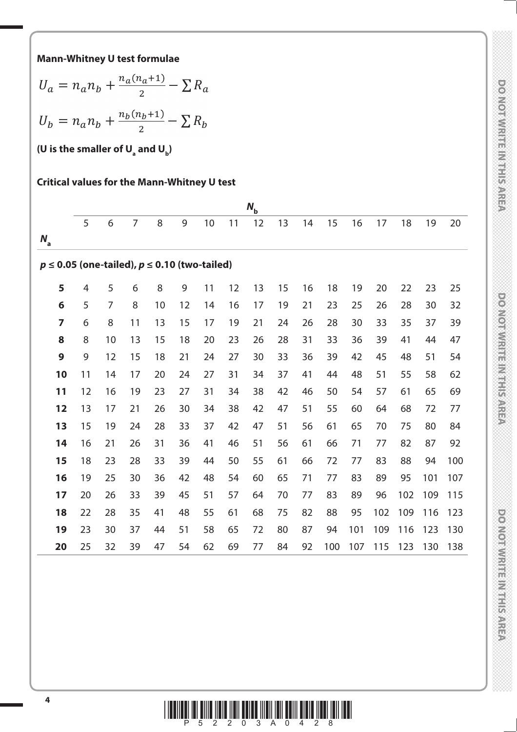**Mann-Whitney U test formulae**

$$
U_a = n_a n_b + \frac{n_a(n_a+1)}{2} - \sum R_a
$$
  

$$
U_b = n_a n_b + \frac{n_b(n_b+1)}{2} - \sum R_b
$$

(U is the smaller of U<sub>a</sub> and U<sub>b</sub>)

# **Critical values for the Mann-Whitney U test**

|        |                                                      |                |                |    |    |    |    | $N_{\rm b}$ |    |    |     |     |     |     |     |     |
|--------|------------------------------------------------------|----------------|----------------|----|----|----|----|-------------|----|----|-----|-----|-----|-----|-----|-----|
|        | 5                                                    | 6              | $\overline{7}$ | 8  | 9  | 10 | 11 | 12          | 13 | 14 | 15  | 16  | 17  | 18  | 19  | 20  |
| N<br>a |                                                      |                |                |    |    |    |    |             |    |    |     |     |     |     |     |     |
|        | $p \le 0.05$ (one-tailed), $p \le 0.10$ (two-tailed) |                |                |    |    |    |    |             |    |    |     |     |     |     |     |     |
| 5      | $\overline{4}$                                       | 5              | 6              | 8  | 9  | 11 | 12 | 13          | 15 | 16 | 18  | 19  | 20  | 22  | 23  | 25  |
| 6      | 5                                                    | $\overline{7}$ | 8              | 10 | 12 | 14 | 16 | 17          | 19 | 21 | 23  | 25  | 26  | 28  | 30  | 32  |
| 7      | 6                                                    | 8              | 11             | 13 | 15 | 17 | 19 | 21          | 24 | 26 | 28  | 30  | 33  | 35  | 37  | 39  |
| 8      | 8                                                    | 10             | 13             | 15 | 18 | 20 | 23 | 26          | 28 | 31 | 33  | 36  | 39  | 41  | 44  | 47  |
| 9      | 9                                                    | 12             | 15             | 18 | 21 | 24 | 27 | 30          | 33 | 36 | 39  | 42  | 45  | 48  | 51  | 54  |
| 10     | 11                                                   | 14             | 17             | 20 | 24 | 27 | 31 | 34          | 37 | 41 | 44  | 48  | 51  | 55  | 58  | 62  |
| 11     | 12                                                   | 16             | 19             | 23 | 27 | 31 | 34 | 38          | 42 | 46 | 50  | 54  | 57  | 61  | 65  | 69  |
| 12     | 13                                                   | 17             | 21             | 26 | 30 | 34 | 38 | 42          | 47 | 51 | 55  | 60  | 64  | 68  | 72  | 77  |
| 13     | 15                                                   | 19             | 24             | 28 | 33 | 37 | 42 | 47          | 51 | 56 | 61  | 65  | 70  | 75  | 80  | 84  |
| 14     | 16                                                   | 21             | 26             | 31 | 36 | 41 | 46 | 51          | 56 | 61 | 66  | 71  | 77  | 82  | 87  | 92  |
| 15     | 18                                                   | 23             | 28             | 33 | 39 | 44 | 50 | 55          | 61 | 66 | 72  | 77  | 83  | 88  | 94  | 100 |
| 16     | 19                                                   | 25             | 30             | 36 | 42 | 48 | 54 | 60          | 65 | 71 | 77  | 83  | 89  | 95  | 101 | 107 |
| 17     | 20                                                   | 26             | 33             | 39 | 45 | 51 | 57 | 64          | 70 | 77 | 83  | 89  | 96  | 102 | 109 | 115 |
| 18     | 22                                                   | 28             | 35             | 41 | 48 | 55 | 61 | 68          | 75 | 82 | 88  | 95  | 102 | 109 | 116 | 123 |
| 19     | 23                                                   | 30             | 37             | 44 | 51 | 58 | 65 | 72          | 80 | 87 | 94  | 101 | 109 | 116 | 123 | 130 |
| 20     | 25                                                   | 32             | 39             | 47 | 54 | 62 | 69 | 77          | 84 | 92 | 100 | 107 | 115 | 123 | 130 | 138 |



DO NOTWRITE IN THIS AREA

DO NOTWRITE INTHIS AREA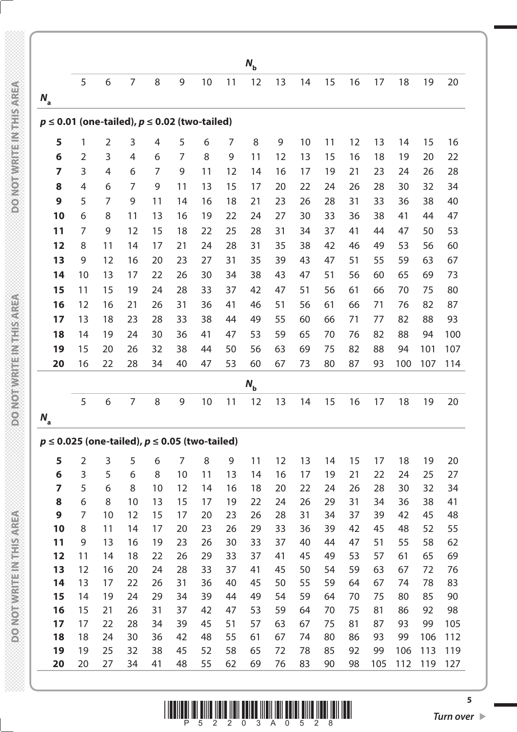|                                                       |                |                |                |                |          |          |          | $N_{\rm b}$ |          |          |          |          |          |          |          |          |
|-------------------------------------------------------|----------------|----------------|----------------|----------------|----------|----------|----------|-------------|----------|----------|----------|----------|----------|----------|----------|----------|
|                                                       | 5              | 6              | $\overline{7}$ | 8              | 9        | 10       | 11       | 12          | 13       | 14       | 15       | 16       | 17       | 18       | 19       | 20       |
| $N_{\rm a}$                                           |                |                |                |                |          |          |          |             |          |          |          |          |          |          |          |          |
|                                                       |                |                |                |                |          |          |          |             |          |          |          |          |          |          |          |          |
| $p \le 0.01$ (one-tailed), $p \le 0.02$ (two-tailed)  |                |                |                |                |          |          |          |             |          |          |          |          |          |          |          |          |
| 5                                                     | 1              | $\overline{2}$ | 3              | 4              | 5        | 6        | 7        | 8           | 9        | 10       | 11       | 12       | 13       | 14       | 15       | 16       |
| 6                                                     | $\overline{2}$ | 3              | $\overline{4}$ | 6              | 7        | 8        | 9        | 11          | 12       | 13       | 15       | 16       | 18       | 19       | 20       | 22       |
| $\overline{7}$                                        | 3              | $\overline{4}$ | 6              | $\overline{7}$ | 9        | 11       | 12       | 14          | 16       | 17       | 19       | 21       | 23       | 24       | 26       | 28       |
| 8                                                     | 4              | 6              | $\overline{7}$ | 9              | 11       | 13       | 15       | 17          | 20       | 22       | 24       | 26       | 28       | 30       | 32       | 34       |
| 9                                                     | 5              | 7              | 9              | 11             | 14       | 16       | 18       | 21          | 23       | 26       | 28       | 31       | 33       | 36       | 38       | 40       |
| 10                                                    | 6              | 8              | 11             | 13             | 16       | 19       | 22       | 24          | 27       | 30       | 33       | 36       | 38       | 41       | 44       | 47       |
| 11                                                    | $\overline{7}$ | 9              | 12             | 15             | 18       | 22       | 25       | 28          | 31       | 34       | 37       | 41       | 44       | 47       | 50       | 53       |
| 12                                                    | 8              | 11             | 14             | 17             | 21       | 24       | 28       | 31          | 35       | 38       | 42       | 46       | 49       | 53       | 56       | 60       |
| 13                                                    | 9              | 12             | 16             | 20             | 23       | 27       | 31       | 35          | 39       | 43       | 47       | 51       | 55       | 59       | 63       | 67       |
| 14<br>15                                              | 10<br>11       | 13<br>15       | 17<br>19       | 22<br>24       | 26<br>28 | 30<br>33 | 34<br>37 | 38<br>42    | 43       | 47<br>51 | 51<br>56 | 56<br>61 | 60<br>66 | 65<br>70 | 69<br>75 | 73<br>80 |
| 16                                                    | 12             | 16             | 21             | 26             | 31       | 36       | 41       | 46          | 47<br>51 | 56       | 61       | 66       | 71       | 76       | 82       | 87       |
| 17                                                    | 13             | 18             | 23             | 28             | 33       | 38       | 44       | 49          | 55       | 60       | 66       | 71       | 77       | 82       | 88       | 93       |
| 18                                                    | 14             | 19             | 24             | 30             | 36       | 41       | 47       | 53          | 59       | 65       | 70       | 76       | 82       | 88       | 94       | 100      |
| 19                                                    | 15             | 20             | 26             | 32             | 38       | 44       | 50       | 56          | 63       | 69       | 75       | 82       | 88       | 94       | 101      | 107      |
| 20                                                    | 16             | 22             | 28             | 34             | 40       | 47       | 53       | 60          | 67       | 73       | 80       | 87       | 93       | 100      | 107      | 114      |
|                                                       |                |                |                |                |          |          |          |             |          |          |          |          |          |          |          |          |
|                                                       |                |                |                |                |          |          |          | $N_{\rm b}$ |          |          |          |          |          |          |          |          |
| N<br>a                                                | 5              | 6              | 7              | 8              | 9        | 10       | 11       | 12          | 13       | 14       | 15       | 16       | 17       | 18       | 19       | 20       |
| $p \le 0.025$ (one-tailed), $p \le 0.05$ (two-tailed) |                |                |                |                |          |          |          |             |          |          |          |          |          |          |          |          |
| 5                                                     | 2              | 3              | 5              | 6              | 7        | 8        | 9        | 11          | 12       | 13       | 14       | 15       | 17       | 18       | 19       | 20       |
| 6                                                     | 3              | 5              | 6              | 8              | 10       | 11       | 13       | 14          | 16       | 17       | 19       | 21       | 22       | 24       | 25       | 27       |
| 7                                                     | 5              | 6              | 8              | 10             | 12       | 14       | 16       | 18          | 20       | 22       | 24       | 26       | 28       | 30       | 32       | 34       |
| 8                                                     | 6              | 8              | 10             | 13             | 15       | 17       | 19       | 22          | 24       | 26       | 29       | 31       | 34       | 36       | 38       | 41       |
| 9                                                     | $\overline{7}$ | 10             | 12             | 15             | 17       | 20       | 23       | 26          | 28       | 31       | 34       | 37       | 39       | 42       | 45       | 48       |
| 10<br>11                                              | 8<br>9         | 11<br>13       | 14<br>16       | 17<br>19       | 20<br>23 | 23<br>26 | 26<br>30 | 29<br>33    | 33<br>37 | 36<br>40 | 39<br>44 | 42<br>47 | 45<br>51 | 48<br>55 | 52<br>58 | 55<br>62 |
| 12                                                    | 11             | 14             | 18             | 22             | 26       | 29       | 33       | 37          | 41       | 45       | 49       | 53       | 57       | 61       | 65       | 69       |
| 13                                                    | 12             | 16             | 20             | 24             | 28       | 33       | 37       | 41          | 45       | 50       | 54       | 59       | 63       | 67       | 72       | 76       |
| 14                                                    | 13             | 17             | 22             | 26             | 31       | 36       | 40       | 45          | 50       | 55       | 59       | 64       | 67       | 74       | 78       | 83       |
| 15                                                    | 14             | 19             | 24             | 29             | 34       | 39       | 44       | 49          | 54       | 59       | 64       | 70       | 75       | 80       | 85       | 90       |
| 16                                                    | 15             | 21             | 26             | 31             | 37       | 42       | 47       | 53          | 59       | 64       | 70       | 75       | 81       | 86       | 92       | 98       |
| 17                                                    | 17             | 22             | 28             | 34             | 39       | 45       | 51       | 57          | 63       | 67       | 75       | 81       | 87       | 93       | 99       | 105      |
| 18                                                    | 18             | 24             | 30             | 36             | 42       | 48       | 55       | 61          | 67       | 74       | 80       | 86       | 93       | 99       | 106      | 112      |
| 19                                                    | 19             | 25             | 32             | 38             | 45       | 52       | 58       | 65          | 72       | 78       | 85       | 92       | 99       | 106      | 113      | 119      |
| 20                                                    | 20             | 27             | 34             | 41             | 48       | 55       | 62       | 69          | 76       | 83       | 90       | 98       | 105      | 112      | 119      | 127      |

**DONOTWRITE IN THIS AREA** 

**PONOTWEIGHTMTHIS AREA** 

**DONOTWRITEIN THIS AREA** 

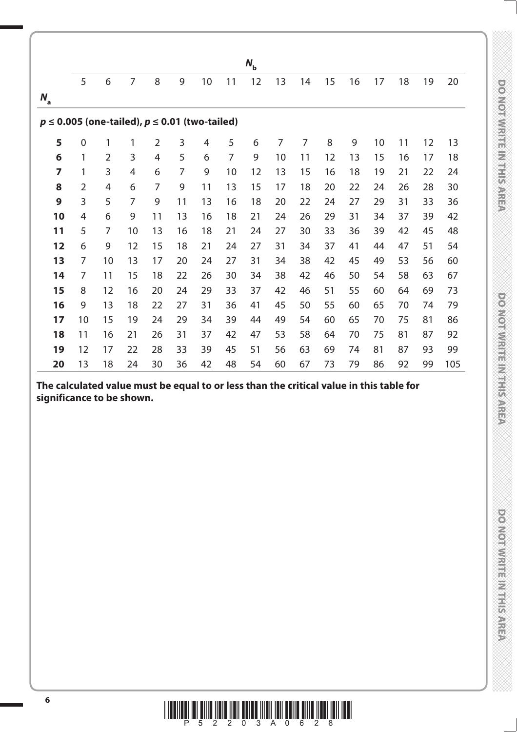|             |                                                       |                |                |                |                |    |                | $N_{\rm b}$ |                |    |    |    |    |    |    |     |
|-------------|-------------------------------------------------------|----------------|----------------|----------------|----------------|----|----------------|-------------|----------------|----|----|----|----|----|----|-----|
|             | 5                                                     | 6              | $\overline{7}$ | 8              | 9              | 10 | 11             | 12          | 13             | 14 | 15 | 16 | 17 | 18 | 19 | 20  |
| $N_{\rm a}$ |                                                       |                |                |                |                |    |                |             |                |    |    |    |    |    |    |     |
|             | $p \le 0.005$ (one-tailed), $p \le 0.01$ (two-tailed) |                |                |                |                |    |                |             |                |    |    |    |    |    |    |     |
| 5           | $\mathbf 0$                                           | 1              | 1              | $\overline{2}$ | 3              | 4  | 5              | 6           | $\overline{7}$ | 7  | 8  | 9  | 10 | 11 | 12 | 13  |
| 6           | 1                                                     | $\overline{2}$ | 3              | 4              | 5              | 6  | $\overline{7}$ | 9           | 10             | 11 | 12 | 13 | 15 | 16 | 17 | 18  |
| 7           | 1                                                     | 3              | $\overline{4}$ | 6              | $\overline{7}$ | 9  | 10             | 12          | 13             | 15 | 16 | 18 | 19 | 21 | 22 | 24  |
| 8           | $\overline{2}$                                        | 4              | 6              | $\overline{7}$ | 9              | 11 | 13             | 15          | 17             | 18 | 20 | 22 | 24 | 26 | 28 | 30  |
| 9           | 3                                                     | 5              | $\overline{7}$ | 9              | 11             | 13 | 16             | 18          | 20             | 22 | 24 | 27 | 29 | 31 | 33 | 36  |
| 10          | 4                                                     | 6              | 9              | 11             | 13             | 16 | 18             | 21          | 24             | 26 | 29 | 31 | 34 | 37 | 39 | 42  |
| 11          | 5                                                     | 7              | 10             | 13             | 16             | 18 | 21             | 24          | 27             | 30 | 33 | 36 | 39 | 42 | 45 | 48  |
| 12          | 6                                                     | 9              | 12             | 15             | 18             | 21 | 24             | 27          | 31             | 34 | 37 | 41 | 44 | 47 | 51 | 54  |
| 13          | 7                                                     | 10             | 13             | 17             | 20             | 24 | 27             | 31          | 34             | 38 | 42 | 45 | 49 | 53 | 56 | 60  |
| 14          | 7                                                     | 11             | 15             | 18             | 22             | 26 | 30             | 34          | 38             | 42 | 46 | 50 | 54 | 58 | 63 | 67  |
| 15          | 8                                                     | 12             | 16             | 20             | 24             | 29 | 33             | 37          | 42             | 46 | 51 | 55 | 60 | 64 | 69 | 73  |
| 16          | 9                                                     | 13             | 18             | 22             | 27             | 31 | 36             | 41          | 45             | 50 | 55 | 60 | 65 | 70 | 74 | 79  |
| 17          | 10                                                    | 15             | 19             | 24             | 29             | 34 | 39             | 44          | 49             | 54 | 60 | 65 | 70 | 75 | 81 | 86  |
| 18          | 11                                                    | 16             | 21             | 26             | 31             | 37 | 42             | 47          | 53             | 58 | 64 | 70 | 75 | 81 | 87 | 92  |
| 19          | 12                                                    | 17             | 22             | 28             | 33             | 39 | 45             | 51          | 56             | 63 | 69 | 74 | 81 | 87 | 93 | 99  |
| 20          | 13                                                    | 18             | 24             | 30             | 36             | 42 | 48             | 54          | 60             | 67 | 73 | 79 | 86 | 92 | 99 | 105 |

**The calculated value must be equal to or less than the critical value in this table for significance to be shown.**



**DOOMAGEMALISMS**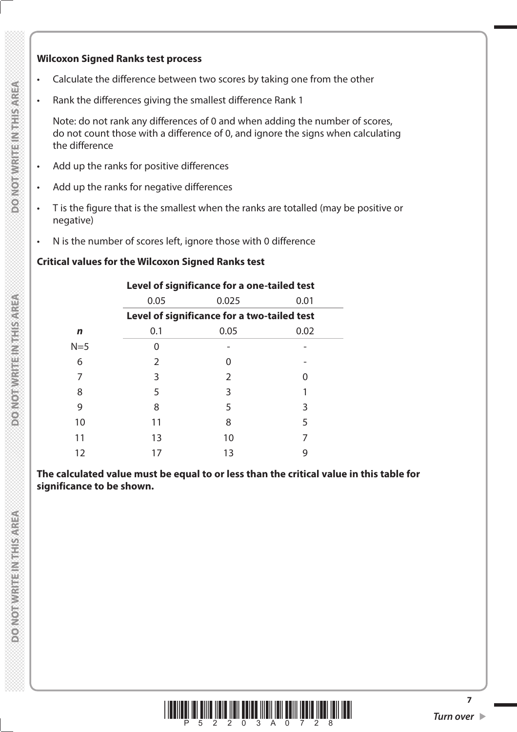#### **Wilcoxon Signed Ranks test process**

- Calculate the difference between two scores by taking one from the other
- Rank the differences giving the smallest difference Rank 1

 Note: do not rank any differences of 0 and when adding the number of scores, do not count those with a difference of 0, and ignore the signs when calculating the difference

- Add up the ranks for positive differences
- Add up the ranks for negative differences
- T is the figure that is the smallest when the ranks are totalled (may be positive or negative)

**Level of significance for a one-tailed test**

• N is the number of scores left, ignore those with 0 difference

#### **Critical values for the Wilcoxon Signed Ranks test**

|       |      | Level of significance for a one-taned test  |      |
|-------|------|---------------------------------------------|------|
|       | 0.05 | 0.025                                       | 0.01 |
|       |      | Level of significance for a two-tailed test |      |
| n     | 0.1  | 0.05                                        | 0.02 |
| $N=5$ |      |                                             |      |
| 6     | 2    |                                             |      |
| 7     | 3    | 2                                           | O    |
| 8     | 5    | 3                                           |      |
| 9     | 8    | 5                                           | 3    |
| 10    | 11   | 8                                           | 5    |
| 11    | 13   | 10                                          |      |
| 12    | 17   | 13                                          | 9    |

**The calculated value must be equal to or less than the critical value in this table for significance to be shown.**



**7**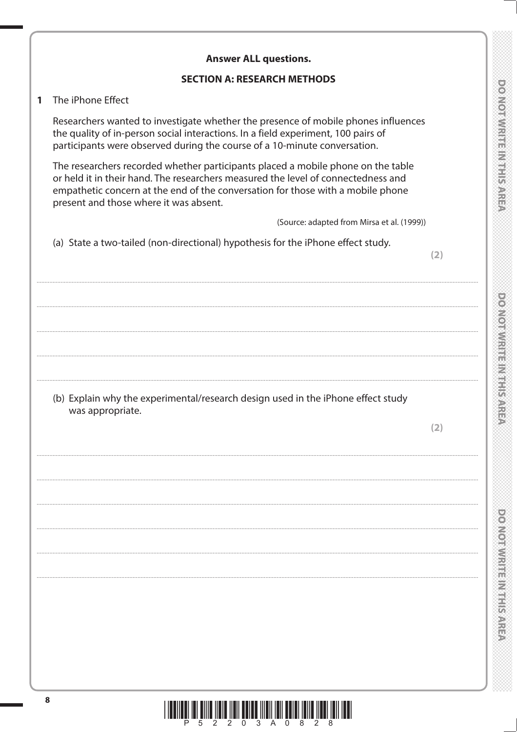|              | <b>Answer ALL questions.</b>                                                                                                                                                                                                                                                                       |     |
|--------------|----------------------------------------------------------------------------------------------------------------------------------------------------------------------------------------------------------------------------------------------------------------------------------------------------|-----|
|              | <b>SECTION A: RESEARCH METHODS</b>                                                                                                                                                                                                                                                                 |     |
| $\mathbf{1}$ | The iPhone Effect                                                                                                                                                                                                                                                                                  |     |
|              | Researchers wanted to investigate whether the presence of mobile phones influences<br>the quality of in-person social interactions. In a field experiment, 100 pairs of<br>participants were observed during the course of a 10-minute conversation.                                               |     |
|              | The researchers recorded whether participants placed a mobile phone on the table<br>or held it in their hand. The researchers measured the level of connectedness and<br>empathetic concern at the end of the conversation for those with a mobile phone<br>present and those where it was absent. |     |
|              | (Source: adapted from Mirsa et al. (1999))                                                                                                                                                                                                                                                         |     |
|              | (a) State a two-tailed (non-directional) hypothesis for the iPhone effect study.                                                                                                                                                                                                                   | (2) |
|              |                                                                                                                                                                                                                                                                                                    |     |
|              | (b) Explain why the experimental/research design used in the iPhone effect study<br>was appropriate.                                                                                                                                                                                               | (2) |
|              |                                                                                                                                                                                                                                                                                                    |     |
|              |                                                                                                                                                                                                                                                                                                    |     |
|              |                                                                                                                                                                                                                                                                                                    |     |
|              |                                                                                                                                                                                                                                                                                                    |     |
|              |                                                                                                                                                                                                                                                                                                    |     |

**DOMOTWRITEIN/SHEAREA** 

DONOTWRITE IN THIS AREA

**DO NOTWRITE INTERNATION** 

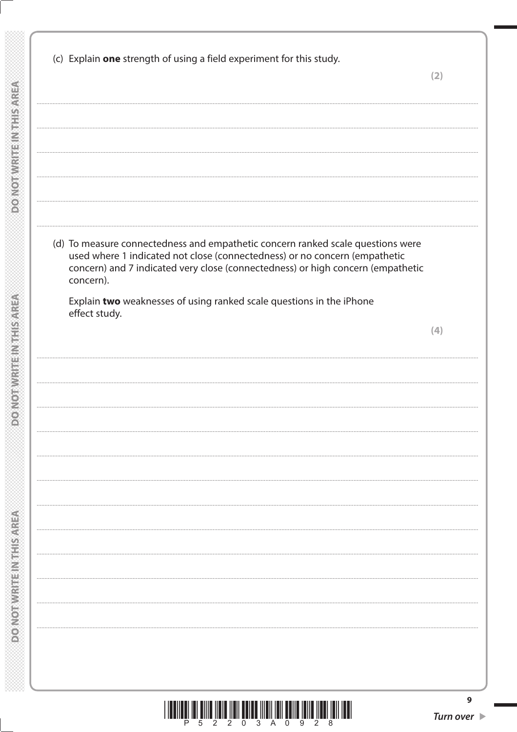|               |                                                                                                                                                                                                                                                  | (2) |
|---------------|--------------------------------------------------------------------------------------------------------------------------------------------------------------------------------------------------------------------------------------------------|-----|
|               |                                                                                                                                                                                                                                                  |     |
|               |                                                                                                                                                                                                                                                  |     |
|               |                                                                                                                                                                                                                                                  |     |
|               |                                                                                                                                                                                                                                                  |     |
|               |                                                                                                                                                                                                                                                  |     |
|               |                                                                                                                                                                                                                                                  |     |
|               |                                                                                                                                                                                                                                                  |     |
|               |                                                                                                                                                                                                                                                  |     |
| concern).     | (d) To measure connectedness and empathetic concern ranked scale questions were<br>used where 1 indicated not close (connectedness) or no concern (empathetic<br>concern) and 7 indicated very close (connectedness) or high concern (empathetic |     |
|               | Explain two weaknesses of using ranked scale questions in the iPhone                                                                                                                                                                             |     |
| effect study. |                                                                                                                                                                                                                                                  |     |
|               |                                                                                                                                                                                                                                                  | (4) |
|               |                                                                                                                                                                                                                                                  |     |
|               |                                                                                                                                                                                                                                                  |     |
|               |                                                                                                                                                                                                                                                  |     |
|               |                                                                                                                                                                                                                                                  |     |
|               |                                                                                                                                                                                                                                                  |     |
|               |                                                                                                                                                                                                                                                  |     |
|               |                                                                                                                                                                                                                                                  |     |
|               |                                                                                                                                                                                                                                                  |     |
|               |                                                                                                                                                                                                                                                  |     |
|               |                                                                                                                                                                                                                                                  |     |
|               |                                                                                                                                                                                                                                                  |     |
|               |                                                                                                                                                                                                                                                  |     |
|               |                                                                                                                                                                                                                                                  |     |
|               |                                                                                                                                                                                                                                                  |     |
|               |                                                                                                                                                                                                                                                  |     |
|               |                                                                                                                                                                                                                                                  |     |
|               |                                                                                                                                                                                                                                                  |     |
|               |                                                                                                                                                                                                                                                  |     |

**DO NOT WRITE INTHIS AREA** 

**DOMOTWRITEIN THIS AREA**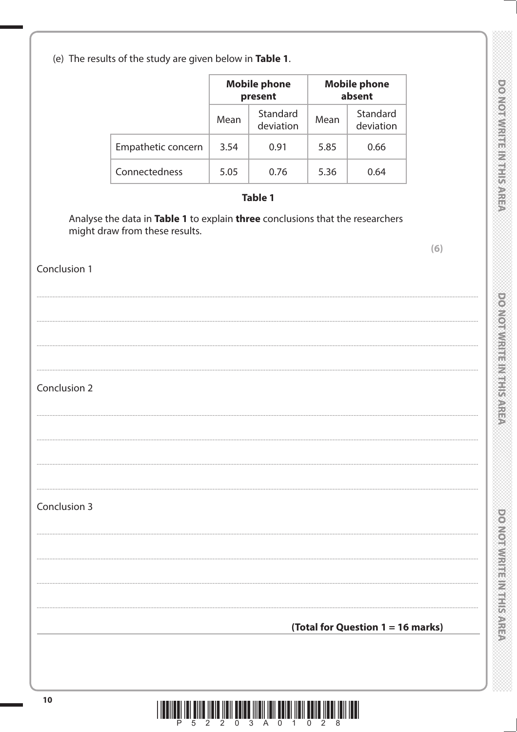|                    |      | <b>Mobile phone</b><br>present |      | <b>Mobile phone</b><br>absent |
|--------------------|------|--------------------------------|------|-------------------------------|
|                    | Mean | Standard<br>deviation          | Mean | Standard<br>deviation         |
| Empathetic concern | 3.54 | 0.91                           | 5.85 | 0.66                          |
| Connectedness      | 5.05 | 0.76                           | 5.36 | 0.64                          |

#### **Table 1**

Analyse the data in Table 1 to explain three conclusions that the researchers might draw from these results.

 $(6)$ 

## Conclusion 1

# Conclusion 2

Conclusion 3

poworwisms risk swap

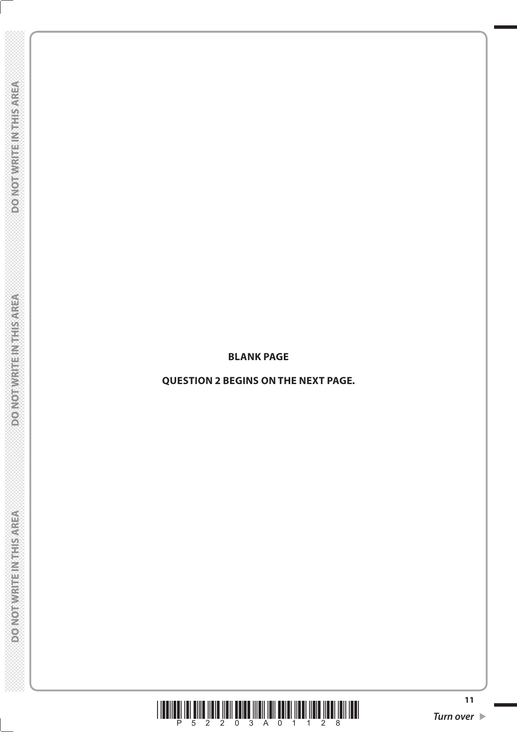**BLANK PAGE**

**QUESTION 2 BEGINS ON THE NEXT PAGE.**

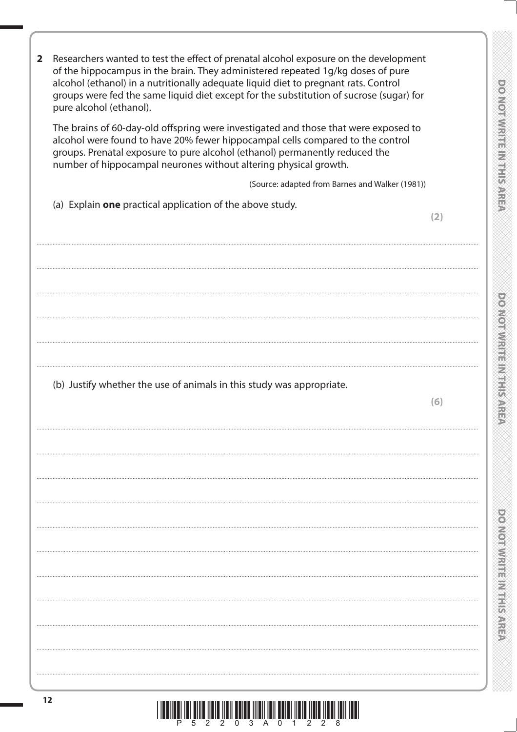| $\overline{2}$ | Researchers wanted to test the effect of prenatal alcohol exposure on the development<br>of the hippocampus in the brain. They administered repeated 1g/kg doses of pure<br>alcohol (ethanol) in a nutritionally adequate liquid diet to pregnant rats. Control<br>groups were fed the same liquid diet except for the substitution of sucrose (sugar) for<br>pure alcohol (ethanol). |     |
|----------------|---------------------------------------------------------------------------------------------------------------------------------------------------------------------------------------------------------------------------------------------------------------------------------------------------------------------------------------------------------------------------------------|-----|
|                | The brains of 60-day-old offspring were investigated and those that were exposed to<br>alcohol were found to have 20% fewer hippocampal cells compared to the control<br>groups. Prenatal exposure to pure alcohol (ethanol) permanently reduced the<br>number of hippocampal neurones without altering physical growth.                                                              |     |
|                | (Source: adapted from Barnes and Walker (1981))                                                                                                                                                                                                                                                                                                                                       |     |
|                | (a) Explain <b>one</b> practical application of the above study.                                                                                                                                                                                                                                                                                                                      |     |
|                |                                                                                                                                                                                                                                                                                                                                                                                       | (2) |
|                |                                                                                                                                                                                                                                                                                                                                                                                       |     |
|                |                                                                                                                                                                                                                                                                                                                                                                                       |     |
|                | (b) Justify whether the use of animals in this study was appropriate.                                                                                                                                                                                                                                                                                                                 | (6) |
|                |                                                                                                                                                                                                                                                                                                                                                                                       |     |
|                |                                                                                                                                                                                                                                                                                                                                                                                       |     |
|                |                                                                                                                                                                                                                                                                                                                                                                                       |     |
|                |                                                                                                                                                                                                                                                                                                                                                                                       |     |
|                |                                                                                                                                                                                                                                                                                                                                                                                       |     |
|                |                                                                                                                                                                                                                                                                                                                                                                                       |     |

DOMOTWRITEINTHIS AREA

DO NOTWRITE MITHIS AREA

DO NOTWRITE IN THIS AREA

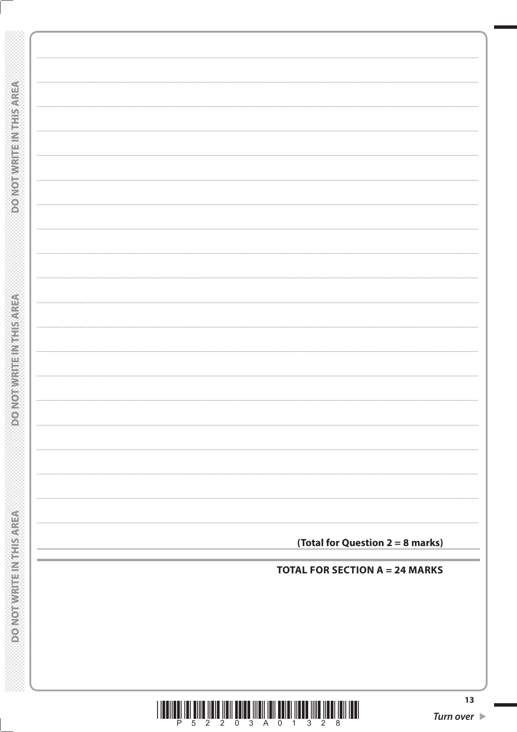| <b>DO NOTHING HEIMALOWOO</b>        |                                       |
|-------------------------------------|---------------------------------------|
|                                     |                                       |
|                                     |                                       |
|                                     |                                       |
|                                     |                                       |
|                                     |                                       |
|                                     |                                       |
|                                     |                                       |
|                                     |                                       |
|                                     |                                       |
|                                     |                                       |
|                                     |                                       |
|                                     |                                       |
|                                     |                                       |
|                                     |                                       |
|                                     |                                       |
|                                     |                                       |
|                                     |                                       |
|                                     |                                       |
|                                     |                                       |
|                                     |                                       |
|                                     |                                       |
|                                     |                                       |
|                                     |                                       |
|                                     |                                       |
|                                     |                                       |
|                                     |                                       |
|                                     |                                       |
|                                     |                                       |
|                                     |                                       |
|                                     |                                       |
|                                     |                                       |
|                                     |                                       |
|                                     |                                       |
| <b>CERTIFICATE IN ESPAÑONICO</b>    |                                       |
|                                     |                                       |
|                                     |                                       |
|                                     |                                       |
|                                     |                                       |
|                                     |                                       |
|                                     |                                       |
|                                     |                                       |
|                                     |                                       |
|                                     |                                       |
|                                     |                                       |
|                                     |                                       |
|                                     |                                       |
|                                     |                                       |
|                                     |                                       |
|                                     |                                       |
|                                     |                                       |
|                                     |                                       |
| <b>REPARENT PROPERTY MONOGONICO</b> |                                       |
|                                     | (Total for Question 2 = 8 marks)      |
|                                     |                                       |
|                                     |                                       |
|                                     | <b>TOTAL FOR SECTION A = 24 MARKS</b> |
|                                     |                                       |
|                                     |                                       |
|                                     |                                       |
|                                     |                                       |
|                                     |                                       |
|                                     |                                       |
|                                     |                                       |
|                                     |                                       |
|                                     |                                       |
|                                     |                                       |
|                                     |                                       |
|                                     |                                       |
|                                     |                                       |
|                                     |                                       |
|                                     | 13                                    |
|                                     |                                       |
|                                     | Turn over $\blacktriangleright$       |
|                                     |                                       |
|                                     |                                       |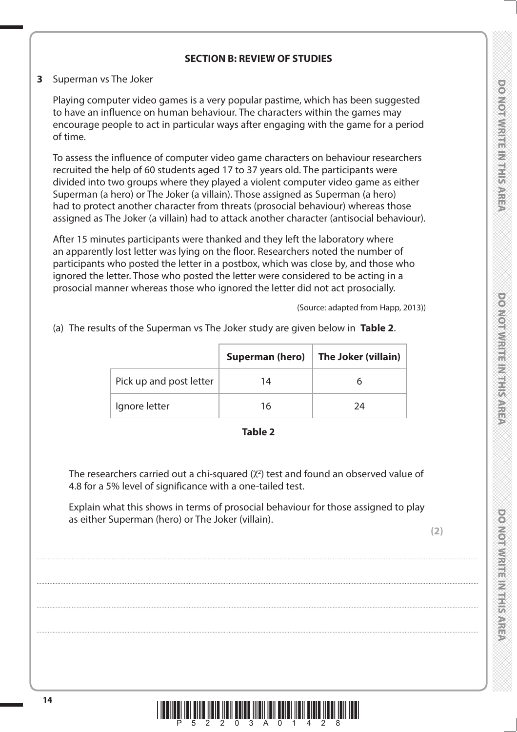# **DO NOINVERTIME IN STREET**

# **SECTION B: REVIEW OF STUDIES**

#### **3** Superman vs The Joker

 Playing computer video games is a very popular pastime, which has been suggested to have an influence on human behaviour. The characters within the games may encourage people to act in particular ways after engaging with the game for a period of time.

 To assess the influence of computer video game characters on behaviour researchers recruited the help of 60 students aged 17 to 37 years old. The participants were divided into two groups where they played a violent computer video game as either Superman (a hero) or The Joker (a villain). Those assigned as Superman (a hero) had to protect another character from threats (prosocial behaviour) whereas those assigned as The Joker (a villain) had to attack another character (antisocial behaviour).

 After 15 minutes participants were thanked and they left the laboratory where an apparently lost letter was lying on the floor. Researchers noted the number of participants who posted the letter in a postbox, which was close by, and those who ignored the letter. Those who posted the letter were considered to be acting in a prosocial manner whereas those who ignored the letter did not act prosocially.

(Source: adapted from Happ, 2013))

(a) The results of the Superman vs The Joker study are given below in **Table 2**.

|                         | <b>Superman (hero)</b> | The Joker (villain) |
|-------------------------|------------------------|---------------------|
| Pick up and post letter | 14                     |                     |
| Ignore letter           | 16                     | 24                  |

#### **Table 2**

The researchers carried out a chi-squared  $(\chi^2)$  test and found an observed value of 4.8 for a 5% level of significance with a one-tailed test.

 Explain what this shows in terms of prosocial behaviour for those assigned to play as either Superman (hero) or The Joker (villain).

....................................................................................................................................................................................................................................................................................

....................................................................................................................................................................................................................................................................................

....................................................................................................................................................................................................................................................................................

....................................................................................................................................................................................................................................................................................

**(2)** 

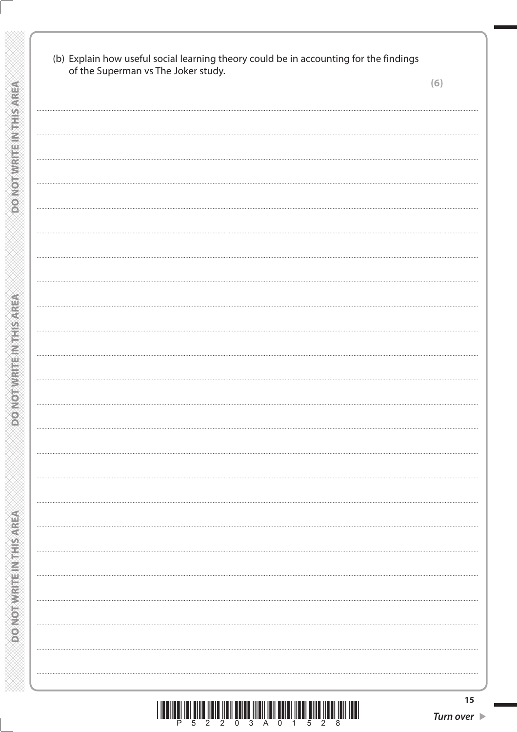|                                 | (b) Explain how useful social learning theory could be in accounting for the findings<br>of the Superman vs The Joker study. |     |
|---------------------------------|------------------------------------------------------------------------------------------------------------------------------|-----|
|                                 |                                                                                                                              | (6) |
| <b>DOANOT WRITEIN THIS AREA</b> |                                                                                                                              |     |
|                                 |                                                                                                                              |     |
|                                 |                                                                                                                              |     |
|                                 |                                                                                                                              |     |
|                                 | $\cdots$                                                                                                                     |     |
|                                 |                                                                                                                              |     |
|                                 |                                                                                                                              |     |
|                                 |                                                                                                                              |     |
|                                 |                                                                                                                              |     |
| <b>PORTHERN PRINTED VIOLAGE</b> |                                                                                                                              |     |
|                                 | $\cdots$                                                                                                                     |     |
|                                 |                                                                                                                              |     |
|                                 |                                                                                                                              |     |
|                                 |                                                                                                                              |     |
|                                 |                                                                                                                              |     |
|                                 |                                                                                                                              |     |
|                                 |                                                                                                                              |     |
|                                 |                                                                                                                              |     |
|                                 |                                                                                                                              |     |
|                                 |                                                                                                                              |     |
|                                 |                                                                                                                              |     |
|                                 |                                                                                                                              |     |
|                                 |                                                                                                                              |     |
| <b>DONOTWRITEIN THIS AREA</b>   |                                                                                                                              |     |
|                                 |                                                                                                                              |     |
|                                 |                                                                                                                              |     |
|                                 |                                                                                                                              | 15  |

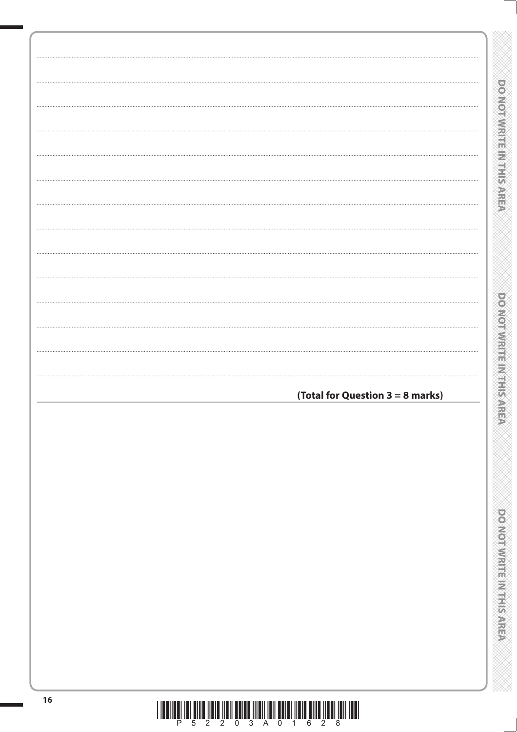|            | í      |
|------------|--------|
|            |        |
|            | ÿ      |
|            |        |
|            | Ş      |
| È          | Ş      |
|            |        |
|            | Ï      |
|            |        |
| Ś          | 5      |
|            |        |
| j          | š      |
|            |        |
|            | ì      |
|            |        |
|            | š      |
|            | ì      |
|            |        |
|            | Š      |
|            |        |
|            | 8      |
| c          |        |
|            | 5      |
| يمت        | S      |
|            |        |
|            | S      |
| É          |        |
|            | S      |
|            |        |
|            | 5      |
|            |        |
|            | 5      |
|            |        |
|            | š      |
| ă          | š      |
| نبعد<br>í  |        |
|            |        |
| ₩          |        |
|            | l      |
|            |        |
|            |        |
|            | 5      |
|            |        |
| 'n         | ì      |
|            |        |
|            | ì      |
| a<br>í     |        |
|            | ì      |
| ۰          | I<br>í |
|            |        |
| ₹<br>j     |        |
|            |        |
|            |        |
|            |        |
| ≚<br>è     |        |
|            |        |
|            |        |
| ٦<br>ŕ     |        |
| i          |        |
|            |        |
| ı<br>ينبرة |        |
|            |        |
| м          |        |
|            |        |
|            |        |
|            |        |
|            |        |
|            |        |
| g<br>ä     |        |
| ä          |        |
|            |        |
| ٦          |        |
| ¢          |        |
|            |        |
|            |        |
|            |        |
| ì          |        |
|            |        |
| Ď<br>ì     |        |
|            |        |
|            |        |
|            |        |
|            |        |
|            |        |
|            |        |
|            |        |

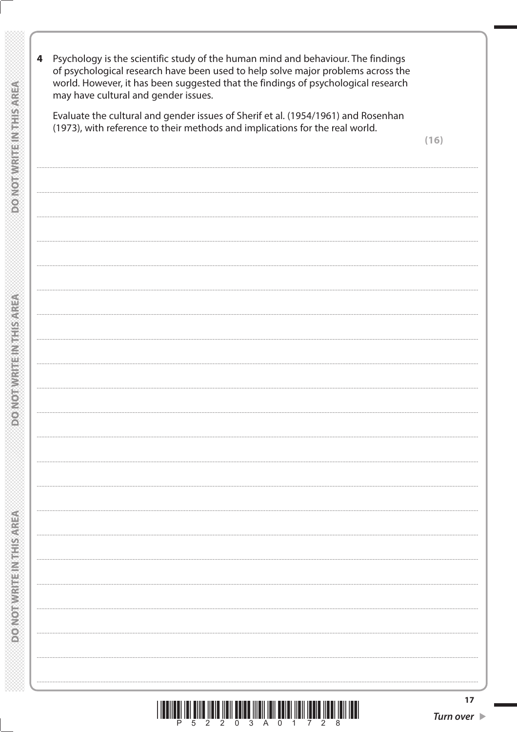| 4 | Psychology is the scientific study of the human mind and behaviour. The findings<br>of psychological research have been used to help solve major problems across the<br>world. However, it has been suggested that the findings of psychological research<br>may have cultural and gender issues. |      |
|---|---------------------------------------------------------------------------------------------------------------------------------------------------------------------------------------------------------------------------------------------------------------------------------------------------|------|
|   | Evaluate the cultural and gender issues of Sherif et al. (1954/1961) and Rosenhan<br>(1973), with reference to their methods and implications for the real world.                                                                                                                                 | (16) |
|   |                                                                                                                                                                                                                                                                                                   |      |
|   |                                                                                                                                                                                                                                                                                                   |      |
|   |                                                                                                                                                                                                                                                                                                   |      |
|   |                                                                                                                                                                                                                                                                                                   |      |
|   |                                                                                                                                                                                                                                                                                                   |      |
|   |                                                                                                                                                                                                                                                                                                   |      |
|   |                                                                                                                                                                                                                                                                                                   |      |
|   |                                                                                                                                                                                                                                                                                                   |      |
|   |                                                                                                                                                                                                                                                                                                   |      |
|   |                                                                                                                                                                                                                                                                                                   |      |
|   |                                                                                                                                                                                                                                                                                                   |      |
|   |                                                                                                                                                                                                                                                                                                   |      |
|   |                                                                                                                                                                                                                                                                                                   |      |
|   |                                                                                                                                                                                                                                                                                                   |      |
|   |                                                                                                                                                                                                                                                                                                   | 17   |

**DOMOT WRITEIN THIS AREA** 

**DO NOTWATE INTHISINER** 

**ASRET MATERIALISM DO OC**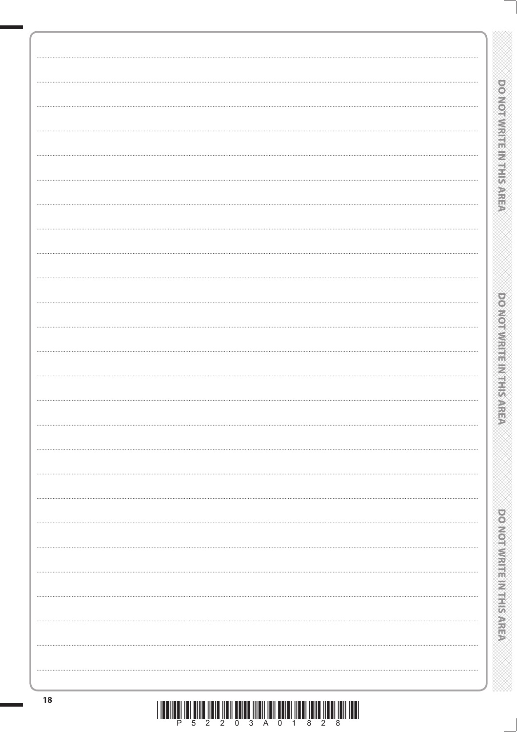|  |   | ś      |   | k      | Ż |                   |        |           |                                            |
|--|---|--------|---|--------|---|-------------------|--------|-----------|--------------------------------------------|
|  |   |        | Š | ź      |   |                   |        |           | Ş                                          |
|  |   |        |   |        |   |                   |        |           |                                            |
|  |   |        | ć |        |   |                   |        |           |                                            |
|  |   |        |   | ċ      |   |                   |        |           | ì                                          |
|  |   | Ŝ      |   | ▒      |   |                   | ć      | ć         |                                            |
|  |   |        |   |        |   |                   |        | ć         |                                            |
|  |   | ×<br>ć |   | ü<br>ć |   | ì                 | j      | XXX<br>ć  |                                            |
|  |   | ×      |   | ý.     |   | ź                 | ł      | ć         | ì                                          |
|  |   | Þ      |   |        |   | $\mathbf{\hat{}}$ |        | ×<br>ź    |                                            |
|  |   |        |   | Þ<br>Š |   |                   |        |           | !<br> <br> <br>                            |
|  |   |        |   |        |   |                   |        |           |                                            |
|  |   |        | Ş |        |   |                   |        |           |                                            |
|  |   | Š      |   |        | í |                   |        | í         |                                            |
|  |   |        |   | ▒      |   |                   |        | ć         |                                            |
|  |   |        |   |        |   |                   |        |           |                                            |
|  |   |        |   |        |   |                   |        |           |                                            |
|  |   |        |   |        |   |                   |        |           |                                            |
|  |   |        |   | è,     |   |                   |        |           |                                            |
|  |   |        |   |        |   |                   |        |           | \$                                         |
|  |   |        |   | y      |   |                   |        |           |                                            |
|  |   |        |   | Ĥ.     |   |                   |        |           |                                            |
|  | I |        |   |        |   |                   |        |           |                                            |
|  |   |        |   | ے      |   |                   |        | ć         | 88                                         |
|  |   | ⇔      |   |        |   |                   |        |           |                                            |
|  |   |        |   |        | p |                   |        | ć         |                                            |
|  |   | é      |   | ∼      |   |                   |        |           |                                            |
|  |   |        |   | m      |   |                   |        | ć<br>×    | ś                                          |
|  |   |        |   |        |   |                   | ż      |           |                                            |
|  |   |        |   | پ      |   |                   |        | Ş         |                                            |
|  |   |        |   | ₩      |   |                   |        |           |                                            |
|  |   |        |   |        |   |                   |        |           |                                            |
|  |   |        |   |        |   |                   |        | $\langle$ |                                            |
|  |   |        |   |        |   |                   |        | Ŝ         |                                            |
|  |   |        |   |        |   |                   |        | ć         |                                            |
|  |   |        |   | Ĕ      |   |                   |        |           | $\begin{matrix} \sim \\ \sim \end{matrix}$ |
|  |   |        |   |        |   |                   | ł<br>ç |           | Ź                                          |
|  |   |        |   |        |   |                   |        |           |                                            |
|  |   |        |   |        |   |                   |        |           |                                            |
|  |   |        |   |        |   |                   |        |           |                                            |
|  |   |        |   |        |   |                   |        |           |                                            |
|  |   |        |   |        |   |                   |        |           |                                            |
|  |   |        |   |        |   |                   |        |           |                                            |
|  |   |        |   |        |   |                   |        | Ş         | Z                                          |
|  |   |        |   | $\sim$ |   |                   |        |           |                                            |
|  |   |        |   |        |   |                   |        | è<br>▽    |                                            |
|  |   | m      |   |        | ٠ |                   |        | í         |                                            |
|  |   |        |   | ⋍      |   |                   |        |           |                                            |
|  |   |        |   |        |   |                   |        |           | Z                                          |
|  |   |        |   | $\sim$ |   |                   |        |           |                                            |
|  |   |        |   |        |   |                   |        | ć<br>š    |                                            |
|  |   | ۵      |   | m      |   |                   |        | ć         |                                            |
|  |   |        |   | æ      |   |                   |        | i         |                                            |
|  |   |        |   |        |   |                   |        | ì         |                                            |
|  |   |        |   | ▄      |   |                   |        | ć         |                                            |
|  |   |        |   | ì      |   |                   |        |           | ś                                          |
|  |   |        |   |        | ļ |                   |        |           | Z<br>Z                                     |
|  |   |        |   |        |   |                   |        |           |                                            |
|  |   | à      | ь |        | i |                   |        |           |                                            |
|  |   | تن     |   |        |   |                   |        |           |                                            |
|  |   | è      |   |        |   |                   |        |           |                                            |
|  |   | ان     |   |        |   |                   |        |           |                                            |
|  |   | н      |   |        |   |                   |        | ć         |                                            |
|  |   |        |   | ۰      |   |                   |        | ć         |                                            |
|  |   | ы      |   |        |   |                   |        |           | ì                                          |
|  |   | ۹      | ۵ |        |   |                   |        |           | í                                          |
|  |   |        |   | فتر    |   |                   |        |           |                                            |
|  |   |        |   |        |   |                   |        |           | ∖                                          |
|  |   |        |   |        |   |                   |        |           |                                            |
|  |   |        |   |        |   |                   |        |           |                                            |
|  |   |        |   |        |   |                   |        |           |                                            |
|  |   |        |   |        |   |                   |        |           |                                            |
|  |   |        |   |        |   |                   |        |           |                                            |
|  |   |        |   |        |   |                   |        | ï         |                                            |
|  |   |        |   |        |   |                   |        |           | Ş<br>j                                     |
|  |   |        |   |        |   |                   |        | ×         | Ņ                                          |
|  |   |        |   |        |   |                   |        |           |                                            |
|  |   |        |   |        |   |                   |        |           |                                            |
|  |   |        |   |        |   |                   |        |           |                                            |
|  |   | í      |   |        |   | ł                 |        |           |                                            |
|  |   |        |   |        | ź |                   | i      |           | ć                                          |
|  |   |        |   |        |   |                   |        | ć         | ć                                          |
|  |   |        |   |        |   |                   |        |           | ć                                          |
|  |   |        |   |        |   |                   |        | ì         | è                                          |
|  |   |        |   |        |   |                   | ż      |           |                                            |
|  |   |        |   |        |   |                   |        | Ş         |                                            |

| 18 |  |  |
|----|--|--|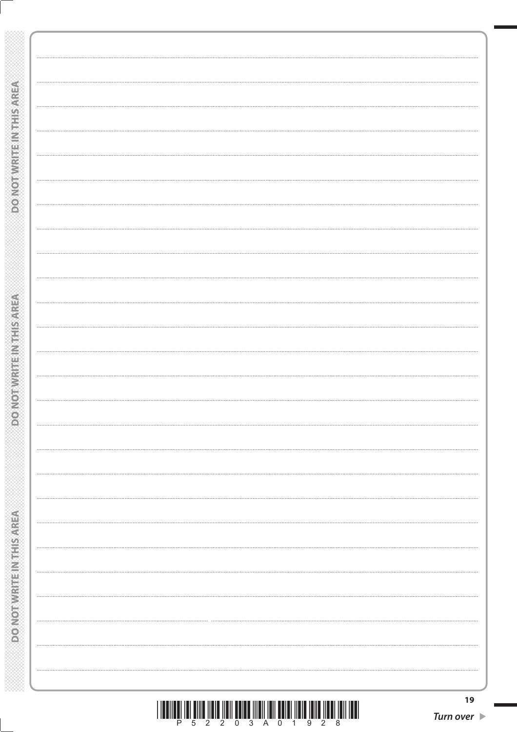| <b>AFRICA SHANNER MARKONCO.</b>    |    |
|------------------------------------|----|
|                                    |    |
|                                    |    |
|                                    |    |
|                                    |    |
|                                    |    |
|                                    |    |
|                                    |    |
|                                    |    |
|                                    |    |
|                                    |    |
|                                    |    |
|                                    |    |
|                                    |    |
|                                    |    |
|                                    |    |
|                                    |    |
| <b>CONCORNAGE IN THE SAN HOURS</b> |    |
|                                    |    |
|                                    |    |
|                                    |    |
|                                    |    |
|                                    |    |
|                                    |    |
|                                    |    |
|                                    |    |
|                                    |    |
|                                    |    |
|                                    |    |
|                                    |    |
|                                    |    |
|                                    |    |
|                                    |    |
|                                    |    |
|                                    |    |
|                                    |    |
|                                    |    |
|                                    |    |
|                                    |    |
|                                    |    |
|                                    |    |
|                                    |    |
|                                    |    |
|                                    |    |
|                                    |    |
|                                    |    |
|                                    |    |
|                                    |    |
|                                    |    |
|                                    |    |
|                                    |    |
|                                    |    |
|                                    |    |
|                                    |    |
|                                    |    |
|                                    |    |
|                                    |    |
|                                    |    |
|                                    |    |
|                                    |    |
|                                    |    |
|                                    |    |
|                                    |    |
|                                    |    |
|                                    |    |
|                                    |    |
|                                    |    |
|                                    |    |
|                                    |    |
|                                    |    |
|                                    |    |
|                                    |    |
|                                    |    |
| <b>POWOTNIKITE IN THIS AREA</b>    |    |
|                                    |    |
|                                    |    |
|                                    |    |
|                                    |    |
|                                    |    |
|                                    |    |
|                                    |    |
|                                    |    |
|                                    | 19 |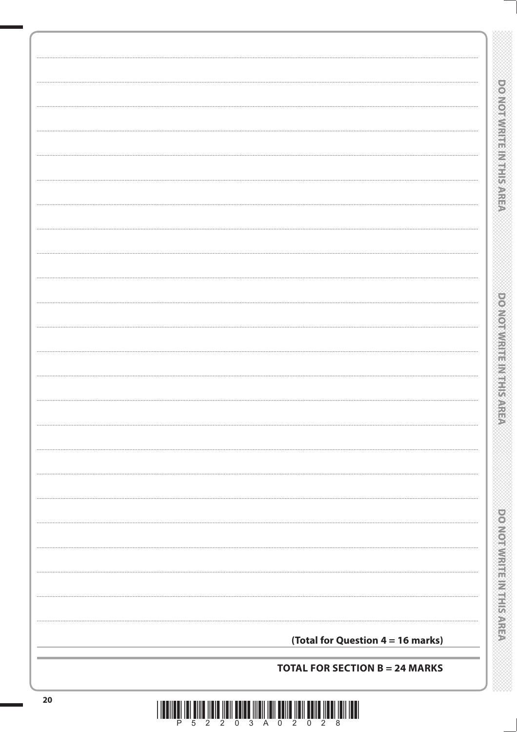|  |   | Ć  |  |   |  |
|--|---|----|--|---|--|
|  |   |    |  |   |  |
|  |   |    |  |   |  |
|  |   |    |  |   |  |
|  |   |    |  |   |  |
|  |   |    |  |   |  |
|  |   |    |  |   |  |
|  |   |    |  |   |  |
|  |   |    |  |   |  |
|  |   |    |  |   |  |
|  |   |    |  |   |  |
|  | ¥ |    |  |   |  |
|  |   |    |  |   |  |
|  |   |    |  |   |  |
|  | ř |    |  |   |  |
|  |   |    |  | į |  |
|  |   |    |  |   |  |
|  |   |    |  |   |  |
|  |   |    |  |   |  |
|  |   |    |  |   |  |
|  |   |    |  |   |  |
|  |   |    |  |   |  |
|  |   | m  |  |   |  |
|  |   |    |  |   |  |
|  |   |    |  |   |  |
|  |   |    |  |   |  |
|  |   | é  |  |   |  |
|  |   |    |  |   |  |
|  |   | œ  |  |   |  |
|  |   |    |  |   |  |
|  |   |    |  |   |  |
|  |   |    |  |   |  |
|  |   |    |  |   |  |
|  |   |    |  |   |  |
|  |   |    |  |   |  |
|  |   |    |  |   |  |
|  |   |    |  |   |  |
|  |   |    |  |   |  |
|  |   |    |  |   |  |
|  |   |    |  |   |  |
|  |   |    |  |   |  |
|  |   |    |  |   |  |
|  |   |    |  |   |  |
|  |   |    |  |   |  |
|  |   |    |  |   |  |
|  |   |    |  |   |  |
|  |   |    |  |   |  |
|  | î |    |  |   |  |
|  |   |    |  |   |  |
|  | û |    |  |   |  |
|  |   |    |  |   |  |
|  |   |    |  |   |  |
|  |   | a  |  |   |  |
|  |   |    |  |   |  |
|  |   |    |  |   |  |
|  |   | ë  |  |   |  |
|  |   |    |  |   |  |
|  |   |    |  |   |  |
|  |   | ×, |  |   |  |
|  |   |    |  |   |  |
|  |   |    |  |   |  |
|  |   |    |  |   |  |
|  |   |    |  |   |  |
|  |   |    |  |   |  |
|  |   |    |  |   |  |
|  |   |    |  | ĺ |  |
|  |   | J  |  |   |  |
|  |   |    |  |   |  |
|  |   |    |  |   |  |
|  |   |    |  |   |  |
|  |   |    |  |   |  |
|  |   | Ì  |  |   |  |
|  |   |    |  |   |  |
|  | Ì |    |  |   |  |
|  |   |    |  |   |  |
|  |   |    |  |   |  |
|  |   |    |  |   |  |
|  |   |    |  |   |  |
|  | Ì |    |  |   |  |
|  |   |    |  |   |  |
|  |   |    |  |   |  |
|  |   |    |  |   |  |
|  |   |    |  |   |  |
|  | ě |    |  |   |  |
|  |   |    |  |   |  |
|  |   |    |  |   |  |
|  |   |    |  |   |  |
|  |   |    |  |   |  |

# (Total for Question 4 = 16 marks) **TOTAL FOR SECTION B = 24 MARKS**  $20$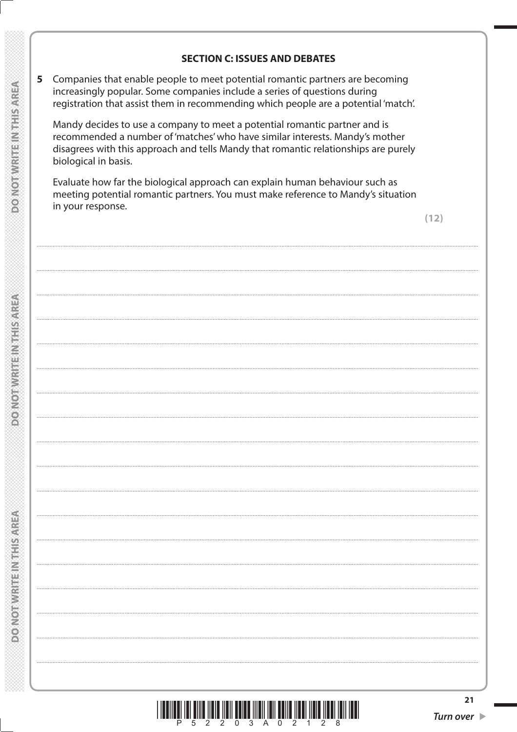#### **SECTION C: ISSUES AND DEBATES**

Companies that enable people to meet potential romantic partners are becoming 5 increasingly popular. Some companies include a series of questions during registration that assist them in recommending which people are a potential 'match'.

Mandy decides to use a company to meet a potential romantic partner and is recommended a number of 'matches' who have similar interests. Mandy's mother disagrees with this approach and tells Mandy that romantic relationships are purely biological in basis.

Evaluate how far the biological approach can explain human behaviour such as meeting potential romantic partners. You must make reference to Mandy's situation in your response.

 $(12)$ 

**DONOTA CONTRACT DE L'ANGERIA** 

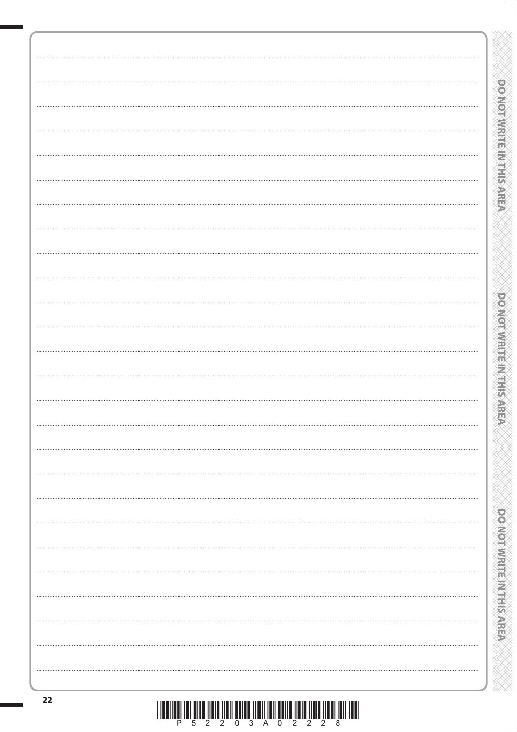|  |   |    |   | Ñ  |   |  |
|--|---|----|---|----|---|--|
|  |   |    |   |    |   |  |
|  |   |    |   |    |   |  |
|  |   |    |   |    |   |  |
|  |   |    |   |    | J |  |
|  |   |    |   |    |   |  |
|  |   |    |   |    |   |  |
|  |   |    |   |    |   |  |
|  |   | ×, |   |    |   |  |
|  | ń |    |   | ¢  |   |  |
|  |   |    |   |    |   |  |
|  |   |    | Ŕ |    |   |  |
|  |   |    | C |    |   |  |
|  |   |    |   |    |   |  |
|  |   |    |   |    |   |  |
|  |   |    |   | ⇔  |   |  |
|  |   |    |   |    |   |  |
|  |   |    |   |    |   |  |
|  |   |    |   | È  |   |  |
|  |   |    |   |    |   |  |
|  |   |    |   |    |   |  |
|  |   |    |   |    |   |  |
|  |   |    |   | ž, |   |  |
|  |   |    |   |    |   |  |
|  |   |    |   |    |   |  |
|  |   |    |   |    |   |  |
|  |   |    |   | ۳  |   |  |
|  |   |    |   | æ, |   |  |
|  |   |    |   |    |   |  |
|  |   |    |   |    |   |  |
|  |   |    |   |    |   |  |
|  |   |    |   |    |   |  |
|  |   |    |   | 1  |   |  |
|  |   |    |   |    |   |  |
|  |   |    |   |    |   |  |
|  |   | ë  |   |    |   |  |
|  |   |    |   |    |   |  |
|  |   | ۳  |   |    |   |  |
|  |   |    | ⊯ |    |   |  |
|  |   |    |   |    |   |  |
|  |   |    |   |    |   |  |
|  |   |    | ₩ |    |   |  |
|  |   |    |   |    |   |  |
|  |   |    |   |    |   |  |
|  |   | ۷  |   |    |   |  |
|  |   | ř. |   |    |   |  |
|  |   |    |   |    |   |  |
|  |   | 無  |   |    |   |  |
|  |   |    |   |    |   |  |
|  |   | Ŀ  |   |    |   |  |
|  |   |    |   |    |   |  |
|  |   |    |   |    |   |  |
|  |   | ĥ  |   |    |   |  |
|  |   |    | b |    |   |  |
|  | ë |    |   |    |   |  |
|  | ų |    |   |    |   |  |
|  |   |    |   |    |   |  |
|  | ł |    |   |    |   |  |
|  |   |    |   |    |   |  |
|  |   |    |   |    |   |  |
|  |   |    |   |    |   |  |
|  |   |    |   |    |   |  |
|  | ğ |    |   |    |   |  |
|  |   |    |   |    |   |  |
|  |   |    |   |    |   |  |
|  |   |    |   |    |   |  |
|  |   |    |   |    |   |  |
|  |   |    |   |    |   |  |
|  |   |    |   |    |   |  |

| 22 | $\parallel$<br>I II<br>P | $\prod_{2}$ |  |                                 |
|----|--------------------------|-------------|--|---------------------------------|
|    |                          |             |  |                                 |
|    |                          |             |  | <b>DO NOT WRITE INSTRUCTS</b>   |
|    |                          |             |  |                                 |
|    |                          |             |  |                                 |
|    |                          |             |  | ia<br>Su                        |
|    |                          |             |  | <b>POSTORIAL PROPERTY</b>       |
|    |                          |             |  |                                 |
|    |                          |             |  |                                 |
|    |                          |             |  | 医四甲                             |
|    |                          |             |  | <b>POSTORY IS NOT THE STATE</b> |
|    |                          |             |  |                                 |
|    |                          |             |  |                                 |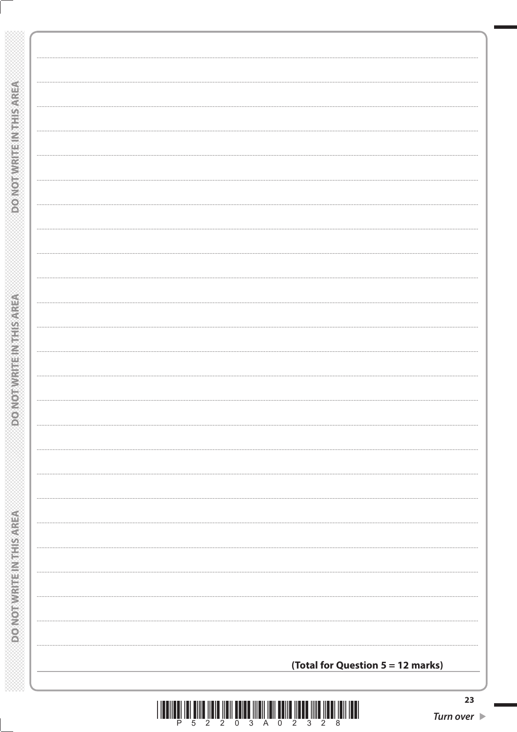| <b>DO NOT WRITEIN THIS AREA</b>   |                                   |
|-----------------------------------|-----------------------------------|
|                                   |                                   |
|                                   |                                   |
|                                   |                                   |
|                                   |                                   |
|                                   |                                   |
|                                   |                                   |
|                                   |                                   |
|                                   |                                   |
|                                   |                                   |
|                                   |                                   |
|                                   |                                   |
|                                   |                                   |
|                                   |                                   |
|                                   |                                   |
|                                   |                                   |
|                                   |                                   |
|                                   |                                   |
|                                   |                                   |
|                                   |                                   |
|                                   |                                   |
|                                   |                                   |
|                                   |                                   |
|                                   |                                   |
|                                   |                                   |
|                                   |                                   |
|                                   |                                   |
|                                   |                                   |
|                                   |                                   |
|                                   |                                   |
|                                   |                                   |
|                                   |                                   |
|                                   |                                   |
|                                   |                                   |
|                                   |                                   |
|                                   |                                   |
|                                   |                                   |
|                                   |                                   |
|                                   |                                   |
|                                   |                                   |
| <b>CANOTA MARIE ANNI HIS 2017</b> |                                   |
|                                   |                                   |
|                                   |                                   |
|                                   |                                   |
|                                   |                                   |
|                                   |                                   |
|                                   |                                   |
|                                   |                                   |
|                                   |                                   |
|                                   |                                   |
|                                   |                                   |
|                                   |                                   |
|                                   |                                   |
|                                   |                                   |
|                                   |                                   |
|                                   |                                   |
|                                   |                                   |
|                                   |                                   |
|                                   |                                   |
|                                   |                                   |
|                                   |                                   |
|                                   |                                   |
|                                   |                                   |
|                                   |                                   |
|                                   |                                   |
|                                   |                                   |
|                                   |                                   |
|                                   |                                   |
|                                   |                                   |
|                                   |                                   |
|                                   | $\cdots$                          |
|                                   |                                   |
| <b>PONOTWRITEINTIFISAREA</b>      |                                   |
|                                   |                                   |
|                                   |                                   |
|                                   |                                   |
|                                   |                                   |
|                                   | $\cdots$                          |
|                                   |                                   |
|                                   |                                   |
|                                   |                                   |
|                                   |                                   |
|                                   |                                   |
|                                   |                                   |
|                                   | (Total for Question 5 = 12 marks) |
|                                   |                                   |
|                                   |                                   |
|                                   |                                   |

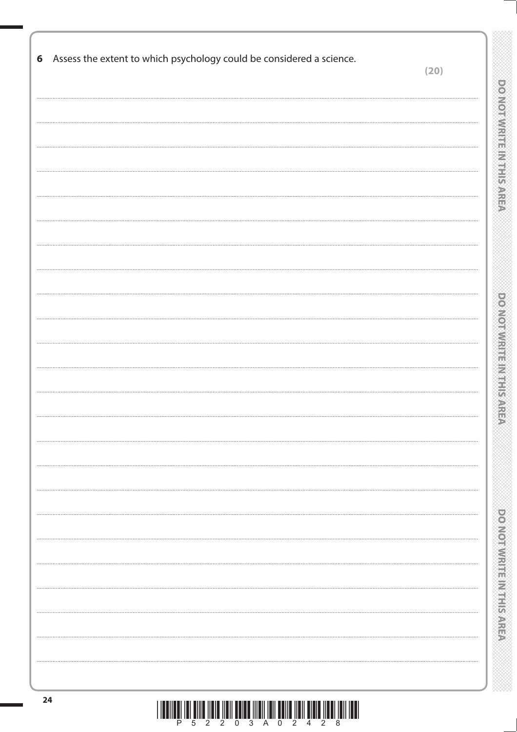| 6 Assess the extent to which psychology could be considered a science. | (20) |  |
|------------------------------------------------------------------------|------|--|
|                                                                        |      |  |
|                                                                        |      |  |
|                                                                        |      |  |
|                                                                        |      |  |
|                                                                        |      |  |
|                                                                        |      |  |
|                                                                        |      |  |
|                                                                        |      |  |
|                                                                        |      |  |
|                                                                        |      |  |
|                                                                        |      |  |
|                                                                        |      |  |
|                                                                        |      |  |
|                                                                        |      |  |
|                                                                        |      |  |
|                                                                        |      |  |
|                                                                        |      |  |
|                                                                        |      |  |
|                                                                        |      |  |
|                                                                        |      |  |
|                                                                        |      |  |
|                                                                        | .    |  |
|                                                                        |      |  |
|                                                                        |      |  |
|                                                                        |      |  |
|                                                                        | .    |  |
|                                                                        |      |  |
|                                                                        |      |  |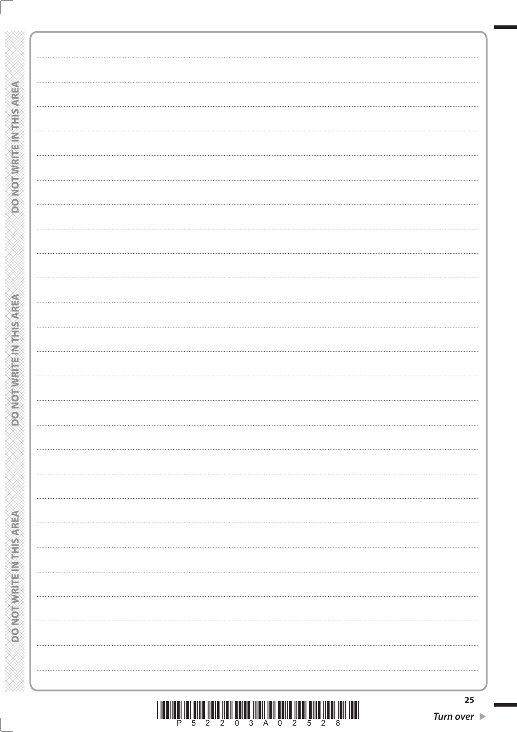| <b>DO NOT WRITEINTHIS AREA</b>                                           |    |
|--------------------------------------------------------------------------|----|
|                                                                          |    |
|                                                                          |    |
|                                                                          |    |
|                                                                          |    |
|                                                                          |    |
|                                                                          |    |
|                                                                          |    |
|                                                                          |    |
|                                                                          |    |
|                                                                          |    |
|                                                                          |    |
|                                                                          |    |
|                                                                          |    |
|                                                                          |    |
|                                                                          |    |
|                                                                          |    |
|                                                                          |    |
|                                                                          |    |
|                                                                          |    |
|                                                                          |    |
|                                                                          |    |
|                                                                          |    |
|                                                                          |    |
|                                                                          |    |
|                                                                          |    |
|                                                                          |    |
|                                                                          |    |
|                                                                          |    |
|                                                                          |    |
|                                                                          |    |
|                                                                          |    |
|                                                                          |    |
|                                                                          |    |
|                                                                          |    |
|                                                                          |    |
|                                                                          |    |
|                                                                          |    |
|                                                                          |    |
|                                                                          |    |
|                                                                          |    |
|                                                                          |    |
|                                                                          |    |
|                                                                          |    |
|                                                                          |    |
|                                                                          |    |
|                                                                          |    |
|                                                                          |    |
|                                                                          |    |
|                                                                          |    |
|                                                                          |    |
|                                                                          |    |
|                                                                          |    |
|                                                                          |    |
|                                                                          |    |
|                                                                          |    |
|                                                                          |    |
|                                                                          |    |
|                                                                          |    |
|                                                                          |    |
|                                                                          |    |
|                                                                          |    |
|                                                                          |    |
|                                                                          |    |
|                                                                          |    |
|                                                                          |    |
|                                                                          |    |
|                                                                          |    |
|                                                                          |    |
|                                                                          |    |
|                                                                          |    |
|                                                                          |    |
|                                                                          |    |
|                                                                          |    |
|                                                                          |    |
|                                                                          |    |
|                                                                          |    |
|                                                                          |    |
|                                                                          |    |
|                                                                          |    |
|                                                                          |    |
|                                                                          |    |
|                                                                          |    |
| <b>CERTIFICATE STATES AND ALCOHOL</b><br><b>POWOTNIKITE IN THIS AREA</b> |    |
|                                                                          | 25 |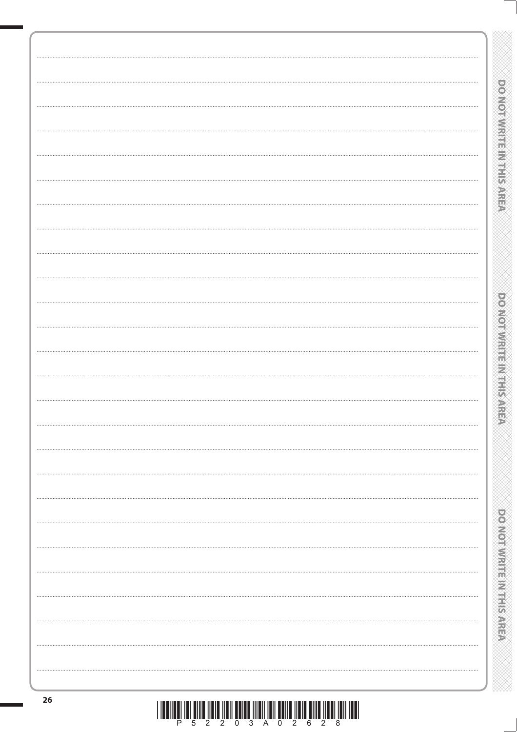|  |   |               |   | € |   |  |
|--|---|---------------|---|---|---|--|
|  |   |               |   |   |   |  |
|  |   |               |   |   |   |  |
|  |   |               |   |   |   |  |
|  |   |               |   |   |   |  |
|  |   | l             |   |   |   |  |
|  |   |               |   |   |   |  |
|  |   |               | ¥ |   |   |  |
|  |   |               |   |   |   |  |
|  |   |               |   |   |   |  |
|  |   | ¥             |   |   |   |  |
|  |   |               |   |   |   |  |
|  | j |               |   |   |   |  |
|  |   |               |   |   |   |  |
|  |   |               |   |   |   |  |
|  |   |               |   |   |   |  |
|  |   |               |   |   |   |  |
|  |   |               |   |   |   |  |
|  |   | ÷             |   |   |   |  |
|  |   |               |   |   |   |  |
|  |   |               |   |   |   |  |
|  |   |               |   |   |   |  |
|  |   |               |   |   |   |  |
|  |   |               |   |   |   |  |
|  |   |               |   |   |   |  |
|  |   |               |   |   |   |  |
|  |   |               |   |   |   |  |
|  |   |               |   |   |   |  |
|  |   |               |   |   |   |  |
|  |   |               |   |   |   |  |
|  |   |               |   |   |   |  |
|  |   |               |   |   |   |  |
|  |   |               |   |   |   |  |
|  |   | ÷             |   |   |   |  |
|  |   |               |   |   |   |  |
|  |   |               |   |   |   |  |
|  |   |               |   |   |   |  |
|  |   |               |   |   |   |  |
|  |   |               |   |   |   |  |
|  |   |               |   |   |   |  |
|  |   | ∍             |   |   |   |  |
|  |   | è             |   |   |   |  |
|  |   |               |   |   |   |  |
|  |   | ×             |   |   |   |  |
|  |   |               |   |   |   |  |
|  |   |               |   |   |   |  |
|  |   |               |   |   |   |  |
|  |   | ₩             |   |   |   |  |
|  |   |               |   |   |   |  |
|  |   |               |   |   |   |  |
|  |   |               |   |   |   |  |
|  |   |               |   |   |   |  |
|  |   | $\frac{1}{2}$ |   |   |   |  |
|  |   |               |   |   |   |  |
|  |   |               |   |   |   |  |
|  |   |               |   |   |   |  |
|  |   |               |   |   | ì |  |
|  |   |               |   |   |   |  |
|  |   |               |   |   |   |  |
|  |   | Ì             |   |   |   |  |
|  |   |               |   |   |   |  |
|  |   |               |   |   |   |  |
|  | ø |               |   |   |   |  |
|  | ï |               |   |   |   |  |
|  |   |               |   |   |   |  |
|  | ł |               |   |   |   |  |
|  |   |               |   |   |   |  |
|  |   |               |   |   |   |  |
|  |   |               |   |   |   |  |
|  |   |               |   |   |   |  |
|  |   |               |   |   |   |  |
|  |   |               |   |   |   |  |
|  | á |               |   |   |   |  |
|  |   |               |   |   |   |  |
|  |   |               |   |   |   |  |
|  |   |               |   |   |   |  |
|  |   |               |   |   |   |  |
|  |   |               |   |   |   |  |
|  |   |               |   |   |   |  |
|  |   |               |   |   |   |  |
|  |   |               |   |   |   |  |
|  |   |               |   |   |   |  |

| <b>PONDONNIA PROTECTIONS</b>   |
|--------------------------------|
|                                |
|                                |
|                                |
| <b>DOMORANTE IN EARLY SARE</b> |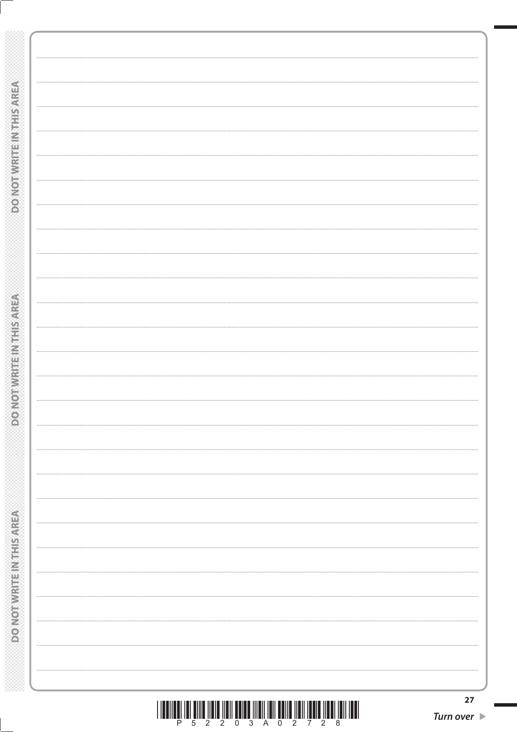| <b>DO NOT WRITEIN THIS AREA</b><br><br><br><b>CERTIFICATE STATES AND ALCOHOL</b><br><br><br><b>POWOTNIKITE IN THIS AREA</b><br><br><br><br> |  |
|---------------------------------------------------------------------------------------------------------------------------------------------|--|
|                                                                                                                                             |  |
|                                                                                                                                             |  |
|                                                                                                                                             |  |
|                                                                                                                                             |  |
|                                                                                                                                             |  |
|                                                                                                                                             |  |
|                                                                                                                                             |  |
|                                                                                                                                             |  |
|                                                                                                                                             |  |
|                                                                                                                                             |  |
|                                                                                                                                             |  |
|                                                                                                                                             |  |
|                                                                                                                                             |  |
|                                                                                                                                             |  |
|                                                                                                                                             |  |
|                                                                                                                                             |  |
|                                                                                                                                             |  |
|                                                                                                                                             |  |
|                                                                                                                                             |  |
|                                                                                                                                             |  |
|                                                                                                                                             |  |
|                                                                                                                                             |  |
|                                                                                                                                             |  |
|                                                                                                                                             |  |
|                                                                                                                                             |  |
|                                                                                                                                             |  |
|                                                                                                                                             |  |
|                                                                                                                                             |  |
|                                                                                                                                             |  |
|                                                                                                                                             |  |
|                                                                                                                                             |  |
|                                                                                                                                             |  |
|                                                                                                                                             |  |
|                                                                                                                                             |  |
|                                                                                                                                             |  |
|                                                                                                                                             |  |
|                                                                                                                                             |  |
|                                                                                                                                             |  |
|                                                                                                                                             |  |
|                                                                                                                                             |  |
|                                                                                                                                             |  |
|                                                                                                                                             |  |
|                                                                                                                                             |  |
|                                                                                                                                             |  |
|                                                                                                                                             |  |
|                                                                                                                                             |  |
|                                                                                                                                             |  |
|                                                                                                                                             |  |
|                                                                                                                                             |  |
|                                                                                                                                             |  |
|                                                                                                                                             |  |
|                                                                                                                                             |  |
|                                                                                                                                             |  |
|                                                                                                                                             |  |
|                                                                                                                                             |  |
|                                                                                                                                             |  |
|                                                                                                                                             |  |
|                                                                                                                                             |  |
|                                                                                                                                             |  |
|                                                                                                                                             |  |
|                                                                                                                                             |  |
|                                                                                                                                             |  |
|                                                                                                                                             |  |
|                                                                                                                                             |  |
|                                                                                                                                             |  |
|                                                                                                                                             |  |
|                                                                                                                                             |  |
|                                                                                                                                             |  |
|                                                                                                                                             |  |
|                                                                                                                                             |  |
|                                                                                                                                             |  |
|                                                                                                                                             |  |
|                                                                                                                                             |  |
|                                                                                                                                             |  |
|                                                                                                                                             |  |
|                                                                                                                                             |  |
|                                                                                                                                             |  |
|                                                                                                                                             |  |
|                                                                                                                                             |  |
|                                                                                                                                             |  |
|                                                                                                                                             |  |
|                                                                                                                                             |  |
|                                                                                                                                             |  |
|                                                                                                                                             |  |
|                                                                                                                                             |  |
|                                                                                                                                             |  |
|                                                                                                                                             |  |
|                                                                                                                                             |  |
|                                                                                                                                             |  |
|                                                                                                                                             |  |
|                                                                                                                                             |  |
|                                                                                                                                             |  |
|                                                                                                                                             |  |
|                                                                                                                                             |  |
|                                                                                                                                             |  |
|                                                                                                                                             |  |
|                                                                                                                                             |  |
|                                                                                                                                             |  |
|                                                                                                                                             |  |
|                                                                                                                                             |  |
|                                                                                                                                             |  |
|                                                                                                                                             |  |
|                                                                                                                                             |  |
|                                                                                                                                             |  |
|                                                                                                                                             |  |
|                                                                                                                                             |  |
|                                                                                                                                             |  |
|                                                                                                                                             |  |
|                                                                                                                                             |  |
|                                                                                                                                             |  |
|                                                                                                                                             |  |
|                                                                                                                                             |  |
|                                                                                                                                             |  |
|                                                                                                                                             |  |
|                                                                                                                                             |  |
|                                                                                                                                             |  |
|                                                                                                                                             |  |
|                                                                                                                                             |  |
|                                                                                                                                             |  |
|                                                                                                                                             |  |
|                                                                                                                                             |  |
|                                                                                                                                             |  |
|                                                                                                                                             |  |
|                                                                                                                                             |  |
|                                                                                                                                             |  |